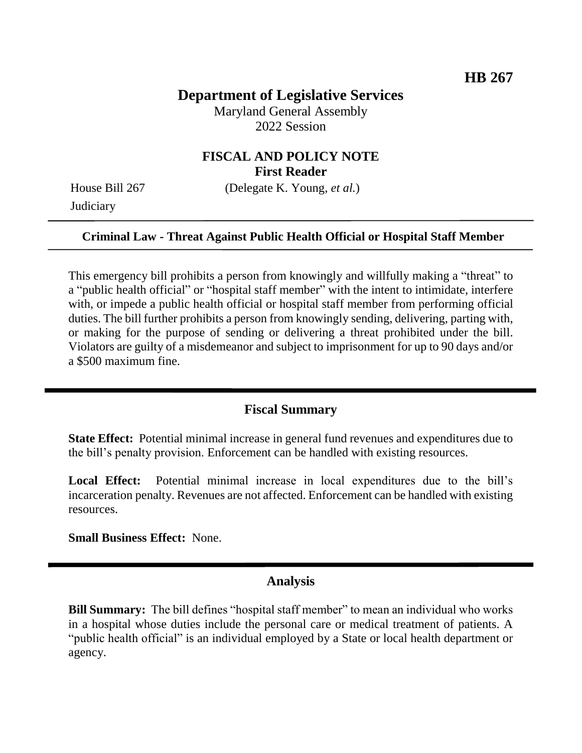## **Department of Legislative Services**

Maryland General Assembly 2022 Session

## **FISCAL AND POLICY NOTE First Reader**

**Judiciary** 

House Bill 267 (Delegate K. Young, *et al.*)

### **Criminal Law - Threat Against Public Health Official or Hospital Staff Member**

This emergency bill prohibits a person from knowingly and willfully making a "threat" to a "public health official" or "hospital staff member" with the intent to intimidate, interfere with, or impede a public health official or hospital staff member from performing official duties. The bill further prohibits a person from knowingly sending, delivering, parting with, or making for the purpose of sending or delivering a threat prohibited under the bill. Violators are guilty of a misdemeanor and subject to imprisonment for up to 90 days and/or a \$500 maximum fine.

### **Fiscal Summary**

**State Effect:** Potential minimal increase in general fund revenues and expenditures due to the bill's penalty provision. Enforcement can be handled with existing resources.

Local Effect: Potential minimal increase in local expenditures due to the bill's incarceration penalty. Revenues are not affected. Enforcement can be handled with existing resources.

**Small Business Effect:** None.

### **Analysis**

**Bill Summary:** The bill defines "hospital staff member" to mean an individual who works in a hospital whose duties include the personal care or medical treatment of patients. A "public health official" is an individual employed by a State or local health department or agency.